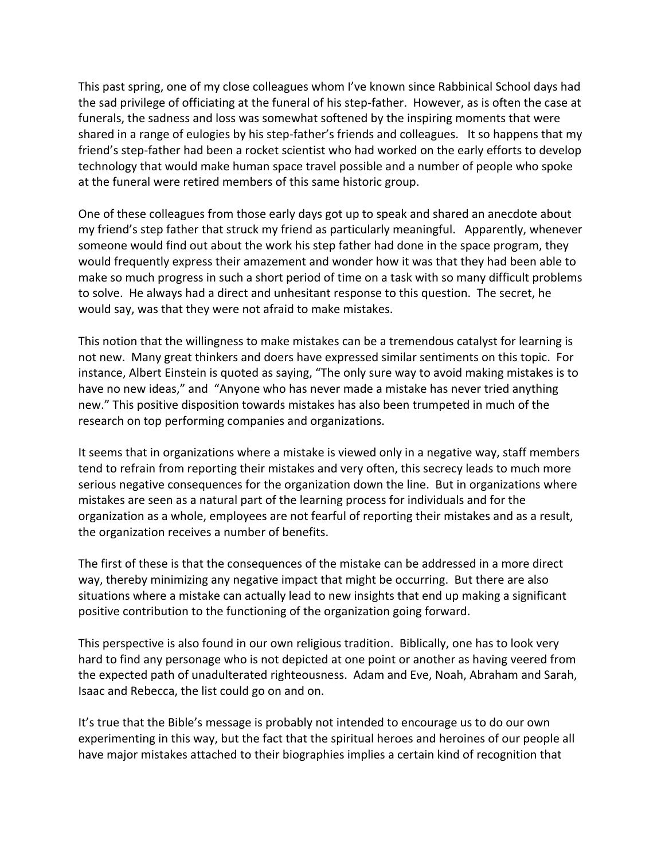This past spring, one of my close colleagues whom I've known since Rabbinical School days had the sad privilege of officiating at the funeral of his step-father. However, as is often the case at funerals, the sadness and loss was somewhat softened by the inspiring moments that were shared in a range of eulogies by his step-father's friends and colleagues. It so happens that my friend's step-father had been a rocket scientist who had worked on the early efforts to develop technology
that
would
make
human
space
travel
possible
and
a
number
of
people
who
spoke at
the
funeral
were
retired
members
of
this
same
historic
group.

One of these colleagues from those early days got up to speak and shared an anecdote about my
friend's
step
father
that
struck
my
friend
as
particularly
meaningful.

Apparently,
whenever someone would find out about the work his step father had done in the space program, they would frequently express their amazement and wonder how it was that they had been able to make so much progress in such a short period of time on a task with so many difficult problems to solve. He always had a direct and unhesitant response to this question. The secret, he would
say,
was
that
they
were
not
afraid
to
make
mistakes.

This notion that the willingness to make mistakes can be a tremendous catalyst for learning is not new. Many great thinkers and doers have expressed similar sentiments on this topic. For instance, Albert Einstein is quoted as saying, "The only sure way to avoid making mistakes is to have no new ideas," and "Anyone who has never made a mistake has never tried anything new."
This
positive
disposition
towards
mistakes
has
also
been
trumpeted
in
much
of
the research
on
top
performing
companies
and
organizations.

It seems that in organizations where a mistake is viewed only in a negative way, staff members tend to refrain from reporting their mistakes and very often, this secrecy leads to much more serious
negative
consequences
for
the
organization
down
the
line. But
in
organizations
where mistakes
are
seen
as
a
natural
part
of
the
learning
process
for
individuals
and
for
the organization as a whole, employees are not fearful of reporting their mistakes and as a result, the
organization
receives
a
number
of
benefits.

The first of these is that the consequences of the mistake can be addressed in a more direct way, thereby minimizing any negative impact that might be occurring. But there are also situations where a mistake can actually lead to new insights that end up making a significant positive
contribution
to
the
functioning
of
the
organization
going
forward.

This perspective is also found in our own religious tradition. Biblically, one has to look very hard to find any personage who is not depicted at one point or another as having veered from the expected path of unadulterated righteousness. Adam and Eve, Noah, Abraham and Sarah, Isaac
and
Rebecca,
the
list
could
go
on
and
on.

It's true that the Bible's message is probably not intended to encourage us to do our own experimenting in this way, but the fact that the spiritual heroes and heroines of our people all have major mistakes attached to their biographies implies a certain kind of recognition that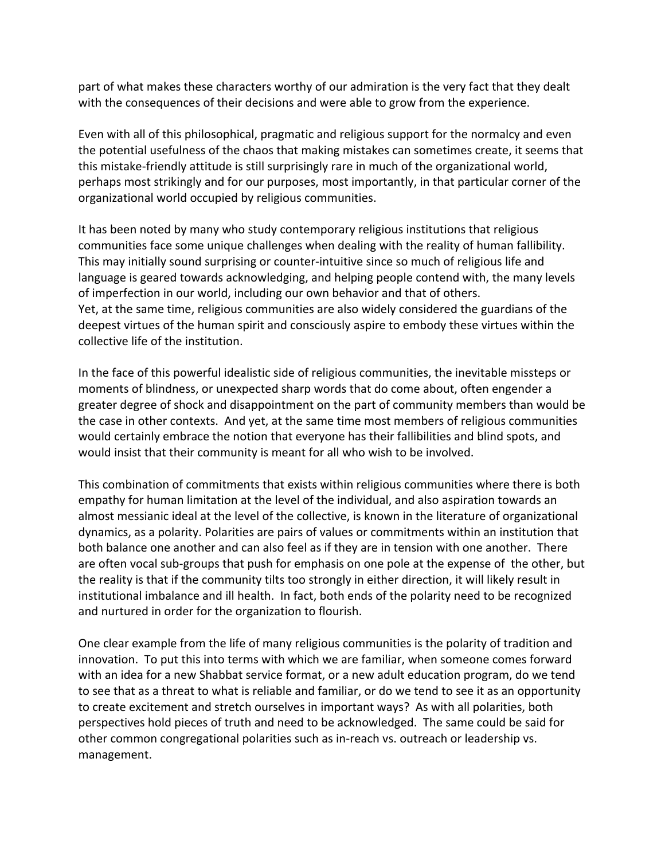part of what makes these characters worthy of our admiration is the very fact that they dealt with the consequences of their decisions and were able to grow from the experience.

Even with all of this philosophical, pragmatic and religious support for the normalcy and even the
potential
usefulness
of
the
chaos
that
making
mistakes
can
sometimes
create,
it
seems
that this mistake-friendly attitude is still surprisingly rare in much of the organizational world, perhaps most strikingly and for our purposes, most importantly, in that particular corner of the organizational
world
occupied
by
religious
communities.

It has been noted by many who study contemporary religious institutions that religious communities
face
some
unique
challenges
when
dealing
with
the
reality
of
human
fallibility. This may initially sound surprising or counter-intuitive since so much of religious life and language is geared towards acknowledging, and helping people contend with, the many levels of imperfection in our world, including our own behavior and that of others. Yet, at the same time, religious communities are also widely considered the guardians of the deepest virtues of the human spirit and consciously aspire to embody these virtues within the collective
life
of
the
institution.

In the face of this powerful idealistic side of religious communities, the inevitable missteps or moments
of
blindness,
or
unexpected
sharp
words
that
do
come
about,
often
engender
a greater
degree
of
shock
and
disappointment
on
the
part
of
community
members
than
would
be the
case
in
other
contexts. And
yet,
at
the
same
time
most
members
of
religious
communities would certainly embrace the notion that everyone has their fallibilities and blind spots, and would insist that their community is meant for all who wish to be involved.

This combination of commitments that exists within religious communities where there is both empathy for human limitation at the level of the individual, and also aspiration towards an almost messianic ideal at the level of the collective, is known in the literature of organizational dynamics, as a polarity. Polarities are pairs of values or commitments within an institution that both balance one another and can also feel as if they are in tension with one another. There are often vocal sub-groups that push for emphasis on one pole at the expense of the other, but the reality is that if the community tilts too strongly in either direction, it will likely result in institutional imbalance and ill health. In fact, both ends of the polarity need to be recognized and
nurtured
in
order
for
the
organization
to
flourish.

One
clear
example
from
the
life
of
many
religious
communities
is
the
polarity
of
tradition
and innovation. To
put
this
into
terms
with
which
we
are
familiar,
when
someone
comes
forward with an idea for a new Shabbat service format, or a new adult education program, do we tend to see that as a threat to what is reliable and familiar, or do we tend to see it as an opportunity to create excitement and stretch ourselves in important ways? As with all polarities, both perspectives
hold
pieces
of
truth
and
need
to
be
acknowledged.

The
same
could
be
said
for other
common
congregational
polarities
such
as
in‐reach
vs.
outreach
or
leadership
vs. management.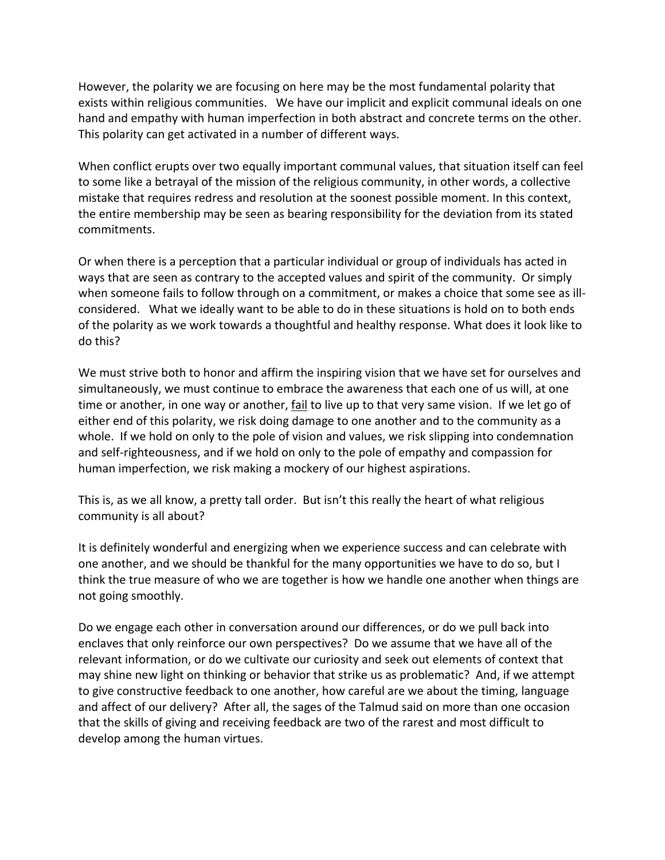However, the polarity we are focusing on here may be the most fundamental polarity that exists within religious communities. We have our implicit and explicit communal ideals on one hand and empathy with human imperfection in both abstract and concrete terms on the other. This
polarity
can
get
activated
in
a
number
of
different
ways.

When conflict erupts over two equally important communal values, that situation itself can feel to some like a betrayal of the mission of the religious community, in other words, a collective mistake that requires redress and resolution at the soonest possible moment. In this context, the
entire
membership
may
be
seen
as
bearing
responsibility
for
the
deviation
from
its
stated commitments.

Or when there is a perception that a particular individual or group of individuals has acted in ways that are seen as contrary to the accepted values and spirit of the community. Or simply when someone fails to follow through on a commitment, or makes a choice that some see as illconsidered. What we ideally want to be able to do in these situations is hold on to both ends of
the
polarity
as
we
work
towards
a
thoughtful
and
healthy
response.
What
does
it
look
like
to do
this?

We must strive both to honor and affirm the inspiring vision that we have set for ourselves and simultaneously, we must continue to embrace the awareness that each one of us will, at one time or another, in one way or another, fail to live up to that very same vision. If we let go of either end of this polarity, we risk doing damage to one another and to the community as a whole. If we hold on only to the pole of vision and values, we risk slipping into condemnation and self-righteousness, and if we hold on only to the pole of empathy and compassion for human imperfection, we risk making a mockery of our highest aspirations.

This is, as we all know, a pretty tall order. But isn't this really the heart of what religious community
is
all
about?

It is definitely wonderful and energizing when we experience success and can celebrate with one another, and we should be thankful for the many opportunities we have to do so, but I think the true measure of who we are together is how we handle one another when things are not
going
smoothly.

Do we engage each other in conversation around our differences, or do we pull back into enclaves that only reinforce our own perspectives? Do we assume that we have all of the relevant
information,
or
do
we
cultivate
our
curiosity
and
seek
out
elements
of
context
that may shine new light on thinking or behavior that strike us as problematic? And, if we attempt to give constructive feedback to one another, how careful are we about the timing, language and affect of our delivery? After all, the sages of the Talmud said on more than one occasion that
the
skills
of
giving
and
receiving
feedback
are
two
of
the
rarest
and
most
difficult
to develop
among
the
human
virtues.